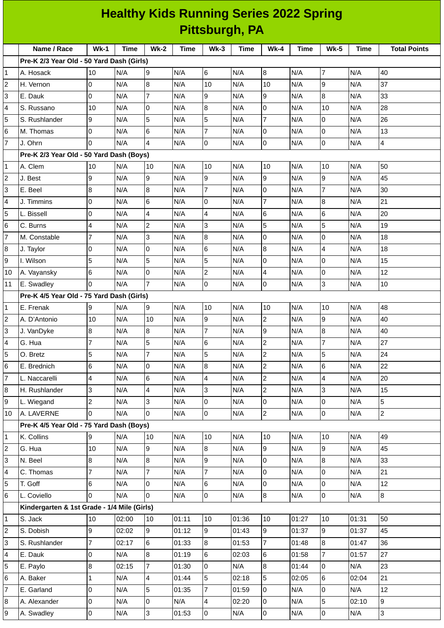| <b>Healthy Kids Running Series 2022 Spring</b> |                                             |                |       |                 |             |                 |             |                |             |                |             |                     |
|------------------------------------------------|---------------------------------------------|----------------|-------|-----------------|-------------|-----------------|-------------|----------------|-------------|----------------|-------------|---------------------|
|                                                | <b>Pittsburgh, PA</b>                       |                |       |                 |             |                 |             |                |             |                |             |                     |
|                                                | Name / Race                                 | $Wk-1$         | Time  | $Wk-2$          | <b>Time</b> | $Wk-3$          | <b>Time</b> | Wk-4           | <b>Time</b> | <b>Wk-5</b>    | <b>Time</b> | <b>Total Points</b> |
|                                                | Pre-K 2/3 Year Old - 50 Yard Dash (Girls)   |                |       |                 |             |                 |             |                |             |                |             |                     |
| 1                                              | A. Hosack                                   | 10             | N/A   | Ι9              | N/A         | 6               | N/A         | $\, 8$         | N/A         | 7              | N/A         | 40                  |
| 2                                              | H. Vernon                                   | 0              | N/A   | 8               | N/A         | 10              | N/A         | 10             | N/A         | 9              | N/A         | 37                  |
| 3                                              | E. Dauk                                     | l0             | N/A   | $\overline{7}$  | N/A         | 9               | N/A         | 9              | N/A         | $\bf{8}$       | N/A         | 33                  |
| 4                                              | S. Russano                                  | 10             | N/A   | 0               | N/A         | 8               | N/A         | 0              | N/A         | 10             | N/A         | 28                  |
| 5                                              | S. Rushlander                               | 9              | N/A   | 5               | N/A         | 5               | N/A         | $\overline{7}$ | N/A         | 0              | N/A         | 26                  |
| 6                                              | M. Thomas                                   | O              | N/A   | $6\phantom{.}6$ | N/A         | $\overline{7}$  | N/A         | 0              | N/A         | 0              | N/A         | 13                  |
| $\overline{7}$                                 | J. Ohrn                                     | <sup>0</sup>   | N/A   | $\overline{4}$  | N/A         | 0               | N/A         | 0              | N/A         | 0              | N/A         | $\overline{4}$      |
|                                                | Pre-K 2/3 Year Old - 50 Yard Dash (Boys)    |                |       |                 |             |                 |             |                |             |                |             |                     |
| 1                                              | A. Clem                                     | 10             | N/A   | 10              | N/A         | 10              | N/A         | 10             | N/A         | 10             | N/A         | 50                  |
| 2                                              | J. Best                                     | 9              | N/A   | 9               | N/A         | 9               | N/A         | 9              | N/A         | 9              | N/A         | 45                  |
| 3                                              | E. Beel                                     | 8              | N/A   | 8               | N/A         | $\overline{7}$  | N/A         | O              | N/A         | $\overline{7}$ | N/A         | 30                  |
| 4                                              | J. Timmins                                  | 0              | N/A   | 6               | N/A         | 0               | N/A         | $\overline{7}$ | N/A         | 8              | N/A         | 21                  |
| 5                                              | L. Bissell                                  | 0              | N/A   | 4               | N/A         | $\overline{4}$  | N/A         | $\,$ 6         | N/A         | 6              | N/A         | 20                  |
| 6                                              | C. Burns                                    | $\overline{4}$ | N/A   | $\overline{c}$  | N/A         | 3               | N/A         | 5              | N/A         | 5              | N/A         | 19                  |
| 7                                              | M. Constable                                | $\overline{7}$ | N/A   | IЗ              | N/A         | 8               | N/A         | 0              | N/A         | 0              | N/A         | 18                  |
| 8                                              | J. Taylor                                   | 0              | N/A   | 0               | N/A         | $6\phantom{.}6$ | N/A         | 8              | N/A         | $\overline{4}$ | N/A         | 18                  |
| 9                                              | I. Wilson                                   | 5              | N/A   | 5               | N/A         | 5               | N/A         | O              | N/A         | 0              | N/A         | 15                  |
| 10                                             | A. Vayansky                                 | 6              | N/A   | 0               | N/A         | $\overline{c}$  | N/A         | 4              | N/A         | 0              | N/A         | 12                  |
| 11                                             | E. Swadley                                  | $\Omega$       | N/A   | $\overline{7}$  | N/A         | 0               | N/A         | $\pmb{0}$      | N/A         | 3              | N/A         | 10                  |
|                                                | Pre-K 4/5 Year Old - 75 Yard Dash (Girls)   |                |       |                 |             |                 |             |                |             |                |             |                     |
| 1                                              | E. Frenak                                   | 9              | N/A   | 9               | N/A         | 10              | N/A         | 10             | N/A         | 10             | N/A         | 48                  |
| 2                                              | A. D'Antonio                                | 10             | N/A   | 10              | N/A         | 9               | N/A         | $\overline{c}$ | N/A         | 9              | N/A         | 40                  |
| 3                                              | J. VanDyke                                  | 8              | N/A   | 8               | N/A         | $\overline{7}$  | N/A         | 9              | N/A         | 8              | N/A         | 40                  |
| 4                                              | G. Hua                                      | $\overline{7}$ | N/A   | 5               | N/A         | $6\phantom{.}$  | N/A         | $\overline{c}$ | N/A         | $\overline{7}$ | N/A         | 27                  |
| 5                                              | O. Bretz                                    | 5              | N/A   | $\overline{7}$  | N/A         | 5               | N/A         | $\overline{c}$ | N/A         | 5              | N/A         | 24                  |
| 6                                              | E. Brednich                                 | 6              | N/A   | 0               | N/A         | 8               | N/A         | $\overline{c}$ | N/A         | 6              | N/A         | 22                  |
| $\overline{7}$                                 | L. Naccarelli                               | $\overline{4}$ | N/A   | $6\phantom{a}$  | N/A         | 4               | N/A         | $\overline{c}$ | N/A         | $\overline{4}$ | N/A         | 20                  |
| 8                                              | H. Rushlander                               | 3              | N/A   | $\overline{4}$  | N/A         | 3               | N/A         | $\mathbf{2}$   | N/A         | 3              | N/A         | 15                  |
| 9                                              | L. Wiegand                                  | $\overline{c}$ | N/A   | $\overline{3}$  | N/A         | 0               | N/A         | 0              | N/A         | 0              | N/A         | 5                   |
| 10                                             | A. LAVERNE                                  | $\overline{0}$ | N/A   | $\overline{0}$  | N/A         | $\overline{0}$  | N/A         | $\overline{2}$ | N/A         | 0              | N/A         | $\overline{2}$      |
|                                                | Pre-K 4/5 Year Old - 75 Yard Dash (Boys)    |                |       |                 |             |                 |             |                |             |                |             |                     |
| 1                                              | K. Collins                                  | 9              | N/A   | 10              | N/A         | 10              | N/A         | 10             | N/A         | 10             | N/A         | 49                  |
| $\overline{c}$                                 | G. Hua                                      | 10             | N/A   | $\overline{9}$  | N/A         | $8\,$           | N/A         | $\overline{9}$ | N/A         | 9              | N/A         | 45                  |
| 3                                              | N. Beel                                     | 8              | N/A   | 8               | N/A         | $\overline{9}$  | N/A         | $\overline{0}$ | N/A         | $\, 8$         | N/A         | 33                  |
| 4                                              | C. Thomas                                   | $\overline{7}$ | N/A   | $\overline{7}$  | N/A         | $\overline{7}$  | N/A         | $\overline{0}$ | N/A         | 0              | N/A         | 21                  |
| 5                                              | T. Goff                                     | 6              | N/A   | 0               | N/A         | $6\phantom{.}$  | N/A         | $\overline{0}$ | N/A         | 0              | N/A         | 12                  |
| 6                                              | L. Coviello                                 | 0              | N/A   | $\overline{0}$  | N/A         | 0               | N/A         | $8\,$          | N/A         | 0              | N/A         | 8                   |
|                                                | Kindergarten & 1st Grade - 1/4 Mile (Girls) |                |       |                 |             |                 |             |                |             |                |             |                     |
| 1                                              | S. Jack                                     | 10             | 02:00 | 10              | 01:11       | 10              | 01:36       | 10             | 01:27       | 10             | 01:31       | 50                  |
| 2                                              | S. Dobish                                   | 9              | 02:02 | 9               | 01:12       | 9               | 01:43       | 9              | 01:37       | 9              | 01:37       | 45                  |
| 3                                              | S. Rushlander                               | $\overline{7}$ | 02:17 | 6               | 01:33       | 8               | 01:53       | $\overline{7}$ | 01:48       | $\bf{8}$       | 01:47       | 36                  |
| 4                                              | E. Dauk                                     | 0              | N/A   | 8               | 01:19       | 6               | 02:03       | 6              | 01:58       | 7              | 01:57       | 27                  |
| 5                                              | E. Paylo                                    | 8              | 02:15 | $\overline{7}$  | 01:30       | $\overline{0}$  | N/A         | 8              | 01:44       | 0              | N/A         | 23                  |
| 6                                              | A. Baker                                    | $\mathbf{1}$   | N/A   | $\overline{4}$  | 01:44       | 5               | 02:18       | 5              | 02:05       | 6              | 02:04       | 21                  |
| 7                                              | E. Garland                                  | 0              | N/A   | 5               | 01:35       | 7               | 01:59       | 0              | N/A         | 0              | N/A         | 12                  |
| 8                                              | A. Alexander                                | O              | N/A   | 0               | N/A         | 4               | 02:20       | $\overline{0}$ | N/A         | 5              | 02:10       | 9                   |
| 9                                              | A. Swadley                                  | $\overline{0}$ | N/A   | 3               | 01:53       | $\overline{0}$  | N/A         | $\mathbf 0$    | N/A         | $\overline{0}$ | N/A         | 3                   |